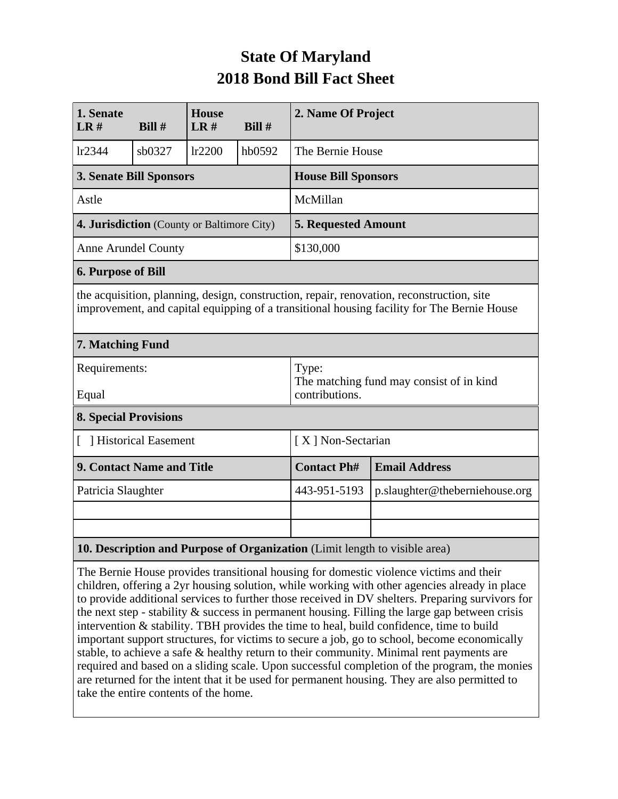## **State Of Maryland 2018 Bond Bill Fact Sheet**

| 1. Senate<br>LR#                                                                                                                                                                        | Bill#  | <b>House</b><br>LR# | Bill $#$ | 2. Name Of Project                                                  |                                |  |  |  |
|-----------------------------------------------------------------------------------------------------------------------------------------------------------------------------------------|--------|---------------------|----------|---------------------------------------------------------------------|--------------------------------|--|--|--|
| lr2344                                                                                                                                                                                  | sb0327 | lr2200              | hb0592   | The Bernie House                                                    |                                |  |  |  |
| <b>3. Senate Bill Sponsors</b>                                                                                                                                                          |        |                     |          | <b>House Bill Sponsors</b>                                          |                                |  |  |  |
| Astle                                                                                                                                                                                   |        |                     |          | McMillan                                                            |                                |  |  |  |
| 4. Jurisdiction (County or Baltimore City)                                                                                                                                              |        |                     |          | <b>5. Requested Amount</b>                                          |                                |  |  |  |
| <b>Anne Arundel County</b>                                                                                                                                                              |        |                     |          | \$130,000                                                           |                                |  |  |  |
| <b>6. Purpose of Bill</b>                                                                                                                                                               |        |                     |          |                                                                     |                                |  |  |  |
| the acquisition, planning, design, construction, repair, renovation, reconstruction, site<br>improvement, and capital equipping of a transitional housing facility for The Bernie House |        |                     |          |                                                                     |                                |  |  |  |
| 7. Matching Fund                                                                                                                                                                        |        |                     |          |                                                                     |                                |  |  |  |
| Requirements:<br>Equal                                                                                                                                                                  |        |                     |          | Type:<br>The matching fund may consist of in kind<br>contributions. |                                |  |  |  |
| <b>8. Special Provisions</b>                                                                                                                                                            |        |                     |          |                                                                     |                                |  |  |  |
| [ ] Historical Easement                                                                                                                                                                 |        |                     |          | [X] Non-Sectarian                                                   |                                |  |  |  |
| 9. Contact Name and Title                                                                                                                                                               |        |                     |          | <b>Contact Ph#</b>                                                  | <b>Email Address</b>           |  |  |  |
| Patricia Slaughter                                                                                                                                                                      |        |                     |          | 443-951-5193                                                        | p.slaughter@theberniehouse.org |  |  |  |
|                                                                                                                                                                                         |        |                     |          |                                                                     |                                |  |  |  |
|                                                                                                                                                                                         |        |                     |          |                                                                     |                                |  |  |  |
| 10. Description and Purpose of Organization (Limit length to visible area)                                                                                                              |        |                     |          |                                                                     |                                |  |  |  |

The Bernie House provides transitional housing for domestic violence victims and their children, offering a 2yr housing solution, while working with other agencies already in place to provide additional services to further those received in DV shelters. Preparing survivors for the next step - stability  $\&$  success in permanent housing. Filling the large gap between crisis intervention & stability. TBH provides the time to heal, build confidence, time to build important support structures, for victims to secure a job, go to school, become economically stable, to achieve a safe & healthy return to their community. Minimal rent payments are required and based on a sliding scale. Upon successful completion of the program, the monies are returned for the intent that it be used for permanent housing. They are also permitted to take the entire contents of the home.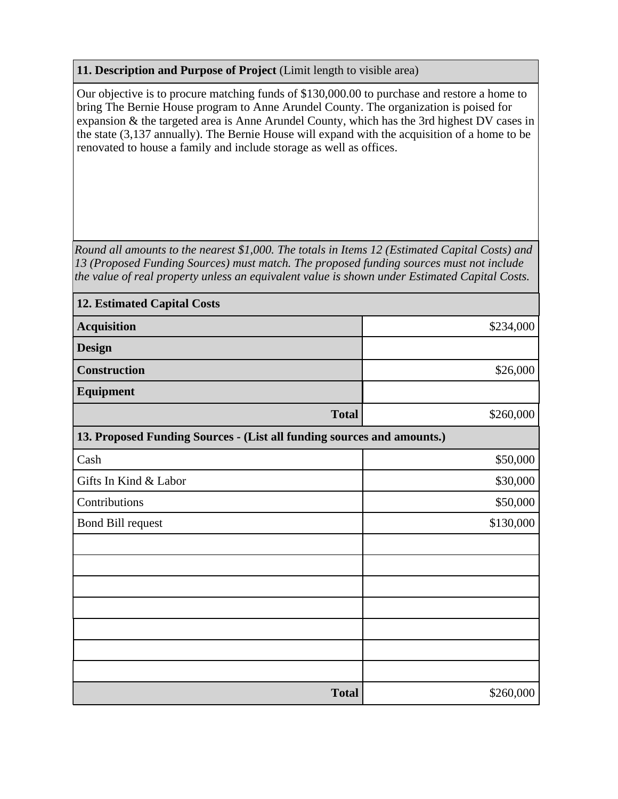## **11. Description and Purpose of Project** (Limit length to visible area)

Our objective is to procure matching funds of \$130,000.00 to purchase and restore a home to bring The Bernie House program to Anne Arundel County. The organization is poised for expansion & the targeted area is Anne Arundel County, which has the 3rd highest DV cases in the state (3,137 annually). The Bernie House will expand with the acquisition of a home to be renovated to house a family and include storage as well as offices.

*Round all amounts to the nearest \$1,000. The totals in Items 12 (Estimated Capital Costs) and 13 (Proposed Funding Sources) must match. The proposed funding sources must not include the value of real property unless an equivalent value is shown under Estimated Capital Costs.*

| <b>12. Estimated Capital Costs</b>                                     |           |
|------------------------------------------------------------------------|-----------|
| <b>Acquisition</b>                                                     | \$234,000 |
| <b>Design</b>                                                          |           |
| <b>Construction</b>                                                    | \$26,000  |
| Equipment                                                              |           |
| <b>Total</b>                                                           | \$260,000 |
| 13. Proposed Funding Sources - (List all funding sources and amounts.) |           |
| Cash                                                                   | \$50,000  |
| Gifts In Kind & Labor                                                  | \$30,000  |
| Contributions                                                          | \$50,000  |
| <b>Bond Bill request</b>                                               | \$130,000 |
|                                                                        |           |
|                                                                        |           |
|                                                                        |           |
|                                                                        |           |
|                                                                        |           |
|                                                                        |           |
|                                                                        |           |
| <b>Total</b>                                                           | \$260,000 |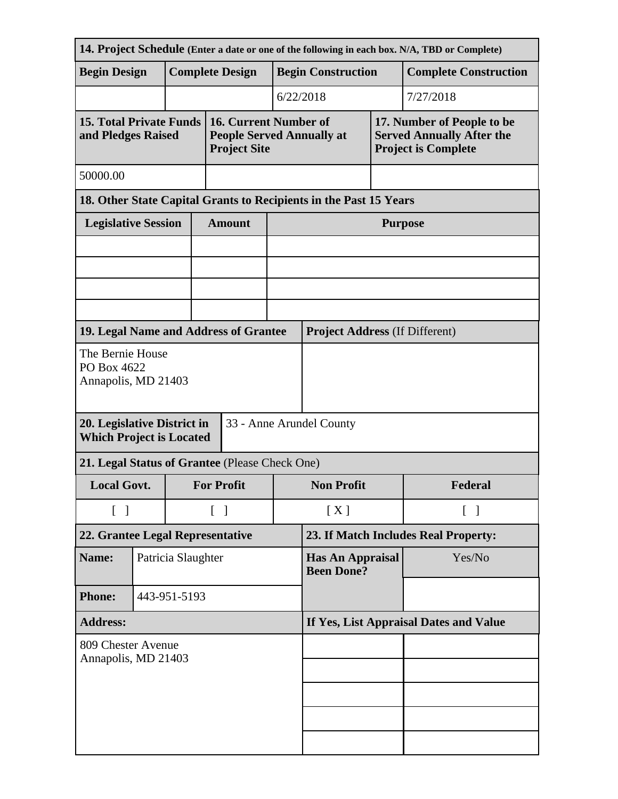| 14. Project Schedule (Enter a date or one of the following in each box. N/A, TBD or Complete) |              |                        |                    |                                                                                  |                                        |                                              |                   |                                                                                              |  |  |
|-----------------------------------------------------------------------------------------------|--------------|------------------------|--------------------|----------------------------------------------------------------------------------|----------------------------------------|----------------------------------------------|-------------------|----------------------------------------------------------------------------------------------|--|--|
| <b>Begin Design</b>                                                                           |              | <b>Complete Design</b> |                    |                                                                                  | <b>Begin Construction</b>              |                                              |                   | <b>Complete Construction</b>                                                                 |  |  |
|                                                                                               |              |                        |                    |                                                                                  |                                        | 6/22/2018                                    | 7/27/2018         |                                                                                              |  |  |
| <b>15. Total Private Funds</b><br>and Pledges Raised                                          |              |                        |                    | 16. Current Number of<br><b>People Served Annually at</b><br><b>Project Site</b> |                                        |                                              |                   | 17. Number of People to be<br><b>Served Annually After the</b><br><b>Project is Complete</b> |  |  |
| 50000.00                                                                                      |              |                        |                    |                                                                                  |                                        |                                              |                   |                                                                                              |  |  |
| 18. Other State Capital Grants to Recipients in the Past 15 Years                             |              |                        |                    |                                                                                  |                                        |                                              |                   |                                                                                              |  |  |
| <b>Legislative Session</b>                                                                    |              |                        |                    | <b>Amount</b>                                                                    |                                        | <b>Purpose</b>                               |                   |                                                                                              |  |  |
|                                                                                               |              |                        |                    |                                                                                  |                                        |                                              |                   |                                                                                              |  |  |
|                                                                                               |              |                        |                    |                                                                                  |                                        |                                              |                   |                                                                                              |  |  |
|                                                                                               |              |                        |                    |                                                                                  |                                        |                                              |                   |                                                                                              |  |  |
| 19. Legal Name and Address of Grantee                                                         |              |                        |                    |                                                                                  |                                        | <b>Project Address (If Different)</b>        |                   |                                                                                              |  |  |
| The Bernie House<br>PO Box 4622<br>Annapolis, MD 21403                                        |              |                        |                    |                                                                                  |                                        |                                              |                   |                                                                                              |  |  |
| 20. Legislative District in<br><b>Which Project is Located</b>                                |              |                        |                    | 33 - Anne Arundel County                                                         |                                        |                                              |                   |                                                                                              |  |  |
| 21. Legal Status of Grantee (Please Check One)                                                |              |                        |                    |                                                                                  |                                        |                                              |                   |                                                                                              |  |  |
| <b>Local Govt.</b>                                                                            |              |                        |                    | <b>For Profit</b>                                                                |                                        | <b>Non Profit</b>                            |                   | Federal                                                                                      |  |  |
| $\lceil$<br>$\overline{\phantom{a}}$                                                          |              |                        | $\lceil \; \rceil$ |                                                                                  | [X]                                    |                                              | $\lceil$ $\rceil$ |                                                                                              |  |  |
| 22. Grantee Legal Representative                                                              |              |                        |                    |                                                                                  |                                        | 23. If Match Includes Real Property:         |                   |                                                                                              |  |  |
| Name:                                                                                         |              | Patricia Slaughter     |                    |                                                                                  |                                        | <b>Has An Appraisal</b><br><b>Been Done?</b> |                   | Yes/No                                                                                       |  |  |
| <b>Phone:</b>                                                                                 | 443-951-5193 |                        |                    |                                                                                  |                                        |                                              |                   |                                                                                              |  |  |
| <b>Address:</b>                                                                               |              |                        |                    |                                                                                  | If Yes, List Appraisal Dates and Value |                                              |                   |                                                                                              |  |  |
| 809 Chester Avenue<br>Annapolis, MD 21403                                                     |              |                        |                    |                                                                                  |                                        |                                              |                   |                                                                                              |  |  |
|                                                                                               |              |                        |                    |                                                                                  |                                        |                                              |                   |                                                                                              |  |  |
|                                                                                               |              |                        |                    |                                                                                  |                                        |                                              |                   |                                                                                              |  |  |
|                                                                                               |              |                        |                    |                                                                                  |                                        |                                              |                   |                                                                                              |  |  |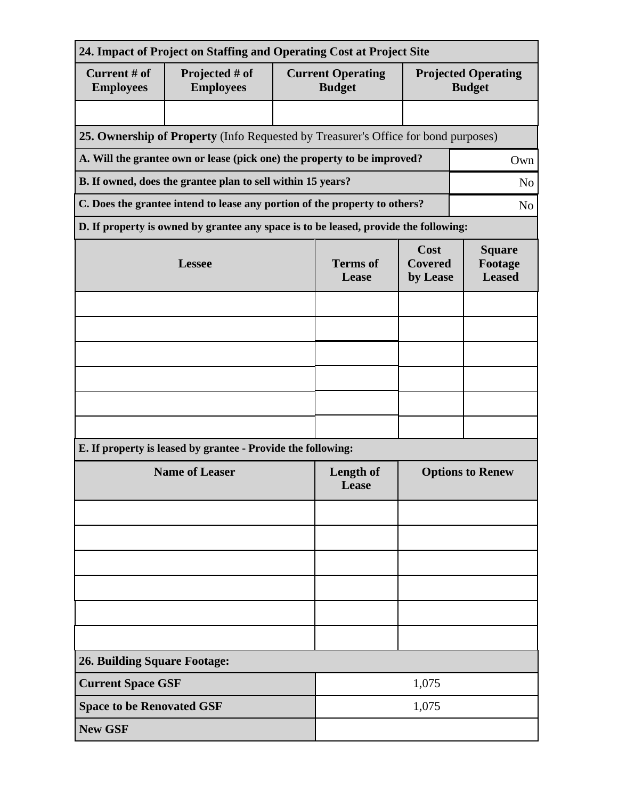| 24. Impact of Project on Staffing and Operating Cost at Project Site |                                                                                      |                           |                                           |                                           |                                             |  |  |
|----------------------------------------------------------------------|--------------------------------------------------------------------------------------|---------------------------|-------------------------------------------|-------------------------------------------|---------------------------------------------|--|--|
| Current # of<br><b>Employees</b>                                     | Projected # of<br><b>Employees</b>                                                   |                           | <b>Current Operating</b><br><b>Budget</b> |                                           | <b>Projected Operating</b><br><b>Budget</b> |  |  |
|                                                                      |                                                                                      |                           |                                           |                                           |                                             |  |  |
|                                                                      | 25. Ownership of Property (Info Requested by Treasurer's Office for bond purposes)   |                           |                                           |                                           |                                             |  |  |
|                                                                      | A. Will the grantee own or lease (pick one) the property to be improved?             |                           |                                           |                                           | Own                                         |  |  |
|                                                                      | B. If owned, does the grantee plan to sell within 15 years?                          |                           |                                           | N <sub>o</sub>                            |                                             |  |  |
|                                                                      | C. Does the grantee intend to lease any portion of the property to others?           |                           |                                           | N <sub>o</sub>                            |                                             |  |  |
|                                                                      | D. If property is owned by grantee any space is to be leased, provide the following: |                           |                                           |                                           |                                             |  |  |
|                                                                      | <b>Lessee</b>                                                                        | <b>Terms</b> of<br>Lease  | Cost<br><b>Covered</b><br>by Lease        | <b>Square</b><br>Footage<br><b>Leased</b> |                                             |  |  |
|                                                                      |                                                                                      |                           |                                           |                                           |                                             |  |  |
|                                                                      |                                                                                      |                           |                                           |                                           |                                             |  |  |
|                                                                      |                                                                                      |                           |                                           |                                           |                                             |  |  |
|                                                                      |                                                                                      |                           |                                           |                                           |                                             |  |  |
|                                                                      |                                                                                      |                           |                                           |                                           |                                             |  |  |
|                                                                      |                                                                                      |                           |                                           |                                           |                                             |  |  |
|                                                                      | E. If property is leased by grantee - Provide the following:                         |                           |                                           |                                           |                                             |  |  |
|                                                                      | <b>Name of Leaser</b>                                                                | <b>Length of</b><br>Lease | <b>Options to Renew</b>                   |                                           |                                             |  |  |
|                                                                      |                                                                                      |                           |                                           |                                           |                                             |  |  |
|                                                                      |                                                                                      |                           |                                           |                                           |                                             |  |  |
|                                                                      |                                                                                      |                           |                                           |                                           |                                             |  |  |
|                                                                      |                                                                                      |                           |                                           |                                           |                                             |  |  |
|                                                                      |                                                                                      |                           |                                           |                                           |                                             |  |  |
|                                                                      |                                                                                      |                           |                                           |                                           |                                             |  |  |
| <b>26. Building Square Footage:</b>                                  |                                                                                      |                           |                                           |                                           |                                             |  |  |
| <b>Current Space GSF</b>                                             |                                                                                      | 1,075                     |                                           |                                           |                                             |  |  |
| <b>Space to be Renovated GSF</b>                                     |                                                                                      | 1,075                     |                                           |                                           |                                             |  |  |
| <b>New GSF</b>                                                       |                                                                                      |                           |                                           |                                           |                                             |  |  |